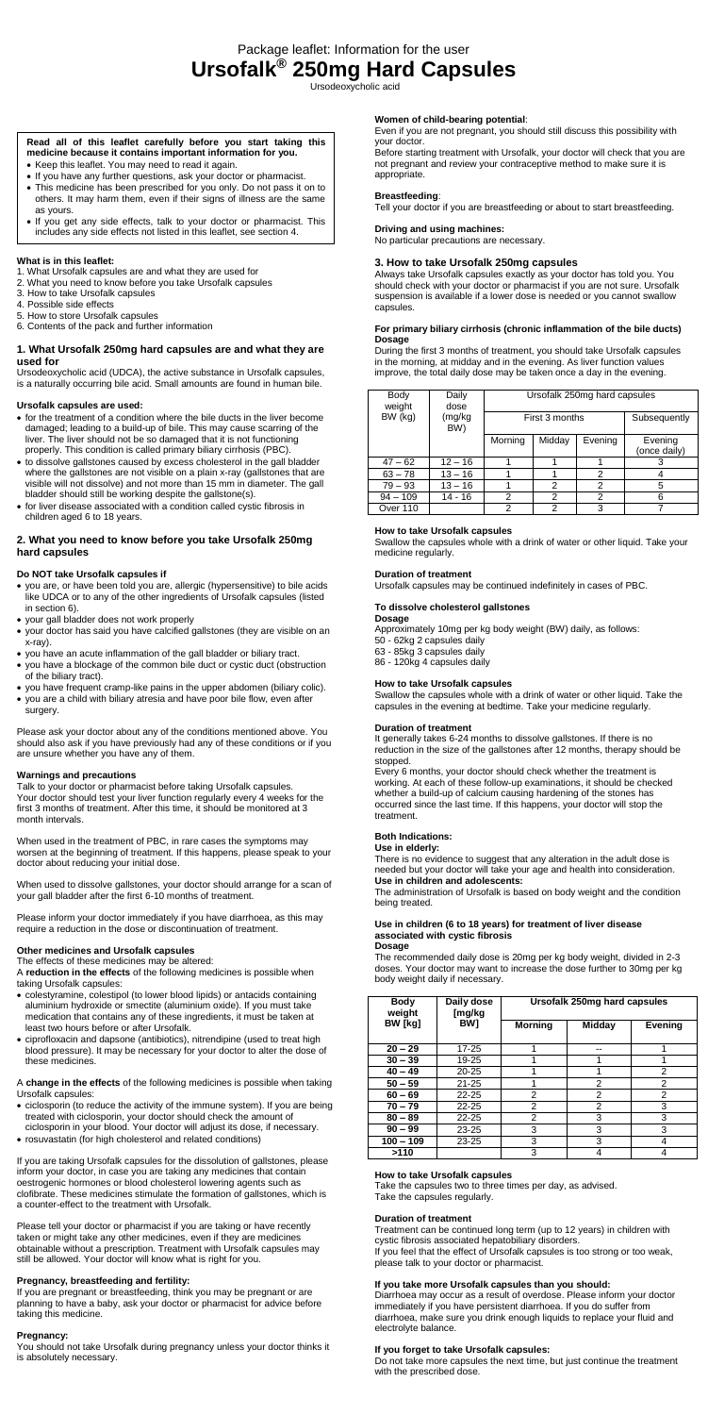Package leaflet: Information for the user **Ursofalk® 250mg Hard Capsules**

Ursodeoxycholic acid

## **What is in this leaflet:**

- 1. What Ursofalk capsules are and what they are used for
- 2. What you need to know before you take Ursofalk capsules
- 3. How to take Ursofalk capsules
- 4. Possible side effects
- 5. How to store Ursofalk capsules

6. Contents of the pack and further information

## **1. What Ursofalk 250mg hard capsules are and what they are used for**

Ursodeoxycholic acid (UDCA), the active substance in Ursofalk capsules, is a naturally occurring bile acid. Small amounts are found in human bile.

### **Ursofalk capsules are used:**

- for the treatment of a condition where the bile ducts in the liver become damaged; leading to a build-up of bile. This may cause scarring of the liver. The liver should not be so damaged that it is not functioning properly. This condition is called primary biliary cirrhosis (PBC).
- to dissolve gallstones caused by excess cholesterol in the gall bladder where the gallstones are not visible on a plain x-ray (gallstones that are visible will not dissolve) and not more than 15 mm in diameter. The gall bladder should still be working despite the gallstone(s).
- for liver disease associated with a condition called cystic fibrosis in children aged 6 to 18 years.

## **2. What you need to know before you take Ursofalk 250mg hard capsules**

## **Do NOT take Ursofalk capsules if**

- you are, or have been told you are, allergic (hypersensitive) to bile acids like UDCA or to any of the other ingredients of Ursofalk capsules (listed in section 6).
- your gall bladder does not work properly
- your doctor has said you have calcified gallstones (they are visible on an x-ray).
- you have an acute inflammation of the gall bladder or biliary tract.
- you have a blockage of the common bile duct or cystic duct (obstruction of the biliary tract).
- you have frequent cramp-like pains in the upper abdomen (biliary colic).
- you are a child with biliary atresia and have poor bile flow, even after

surgery.

Please ask your doctor about any of the conditions mentioned above. You should also ask if you have previously had any of these conditions or if you are unsure whether you have any of them.

## **Warnings and precautions**

Talk to your doctor or pharmacist before taking Ursofalk capsules. Your doctor should test your liver function regularly every 4 weeks for the first 3 months of treatment. After this time, it should be monitored at 3 month intervals.

You should not take Ursofalk during pregnancy unless your doctor thinks it is absolutely necessary.

When used in the treatment of PBC, in rare cases the symptoms may worsen at the beginning of treatment. If this happens, please speak to your doctor about reducing your initial dose.

When used to dissolve gallstones, your doctor should arrange for a scan of your gall bladder after the first 6-10 months of treatment.

Please inform your doctor immediately if you have diarrhoea, as this may require a reduction in the dose or discontinuation of treatment.

### **Other medicines and Ursofalk capsules**

The effects of these medicines may be altered:

A **reduction in the effects** of the following medicines is possible when taking Ursofalk capsules:

- colestyramine, colestipol (to lower blood lipids) or antacids containing aluminium hydroxide or smectite (aluminium oxide). If you must take medication that contains any of these ingredients, it must be taken at least two hours before or after Ursofalk.
- ciprofloxacin and dapsone (antibiotics), nitrendipine (used to treat high blood pressure). It may be necessary for your doctor to alter the dose of these medicines.

- A **change in the effects** of the following medicines is possible when taking Ursofalk capsules:
- ciclosporin (to reduce the activity of the immune system). If you are being treated with ciclosporin, your doctor should check the amount of ciclosporin in your blood. Your doctor will adjust its dose, if necessary.
- rosuvastatin (for high cholesterol and related conditions)

If you are taking Ursofalk capsules for the dissolution of gallstones, please inform your doctor, in case you are taking any medicines that contain oestrogenic hormones or blood cholesterol lowering agents such as clofibrate. These medicines stimulate the formation of gallstones, which is a counter-effect to the treatment with Ursofalk.

Please tell your doctor or pharmacist if you are taking or have recently taken or might take any other medicines, even if they are medicines obtainable without a prescription. Treatment with Ursofalk capsules may still be allowed. Your doctor will know what is right for you.

### **Pregnancy, breastfeeding and fertility:**

If you are pregnant or breastfeeding, think you may be pregnant or are planning to have a baby, ask your doctor or pharmacist for advice before taking this medicine.

- Keep this leaflet. You may need to read it again.
- If you have any further questions, ask your doctor or pharmacist. This medicine has been prescribed for you only. Do not pass it on to others. It may harm them, even if their signs of illness are the same
- as yours. • If you get any side effects, talk to your doctor or pharmacist. This
- includes any side effects not listed in this leaflet, see section 4.

### **Pregnancy:**

## **Women of child-bearing potential**:

Even if you are not pregnant, you should still discuss this possibility with your doctor.

Before starting treatment with Ursofalk, your doctor will check that you are not pregnant and review your contraceptive method to make sure it is appropriate.

## **Breastfeeding**:

Tell your doctor if you are breastfeeding or about to start breastfeeding.

# **Driving and using machines:**

No particular precautions are necessary.

# **3. How to take Ursofalk 250mg capsules**

Always take Ursofalk capsules exactly as your doctor has told you. You should check with your doctor or pharmacist if you are not sure. Ursofalk suspension is available if a lower dose is needed or you cannot swallow capsules.

### **For primary biliary cirrhosis (chronic inflammation of the bile ducts) Dosage**

During the first 3 months of treatment, you should take Ursofalk capsules in the morning, at midday and in the evening. As liver function values improve, the total daily dose may be taken once a day in the evening.

| Body<br>weight | Daily<br>dose | Ursofalk 250mg hard capsules |        |         |                         |  |
|----------------|---------------|------------------------------|--------|---------|-------------------------|--|
| BW (kg)        | (mg/kg<br>BW) | First 3 months               |        |         | Subsequently            |  |
|                |               | Morning                      | Midday | Evening | Evening<br>(once daily) |  |
| $47 - 62$      | $12 - 16$     |                              |        |         | З                       |  |
| $63 - 78$      | $13 - 16$     |                              |        | 2       |                         |  |
| $79 - 93$      | $13 - 16$     |                              | 2      | 2       | 5                       |  |
| $94 - 109$     | 14 - 16       | 2                            | 2      | 2       | 6                       |  |
| Over 110       |               | 2                            | 2      | 3       |                         |  |

## **How to take Ursofalk capsules**

Swallow the capsules whole with a drink of water or other liquid. Take your medicine regularly.

## **Duration of treatment**

Ursofalk capsules may be continued indefinitely in cases of PBC.

# **To dissolve cholesterol gallstones**

**Dosage** 

Approximately 10mg per kg body weight (BW) daily, as follows:

50 - 62kg 2 capsules daily

63 - 85kg 3 capsules daily

86 - 120kg 4 capsules daily

## **How to take Ursofalk capsules**

Swallow the capsules whole with a drink of water or other liquid. Take the capsules in the evening at bedtime. Take your medicine regularly.

### **Duration of treatment**

It generally takes 6-24 months to dissolve gallstones. If there is no reduction in the size of the gallstones after 12 months, therapy should be stopped.

Every 6 months, your doctor should check whether the treatment is working. At each of these follow-up examinations, it should be checked whether a build-up of calcium causing hardening of the stones has occurred since the last time. If this happens, your doctor will stop the treatment.

### **Both Indications:**

### **Use in elderly:**

There is no evidence to suggest that any alteration in the adult dose is needed but your doctor will take your age and health into consideration. **Use in children and adolescents:**

The administration of Ursofalk is based on body weight and the condition being treated.

#### **Use in children (6 to 18 years) for treatment of liver disease associated with cystic fibrosis Dosage**

The recommended daily dose is 20mg per kg body weight, divided in 2-3 doses. Your doctor may want to increase the dose further to 30mg per kg body weight daily if necessary.

| <b>Body</b><br>weight | Daily dose<br>[mg/kg<br>BW1 | Ursofalk 250mg hard capsules |        |         |  |
|-----------------------|-----------------------------|------------------------------|--------|---------|--|
| BW [kg]               |                             | <b>Morning</b>               | Midday | Evening |  |
| $20 - 29$             | $17 - 25$                   |                              |        |         |  |
| $30 - 39$             | 19-25                       |                              |        |         |  |
| $40 - 49$             | $20 - 25$                   | 1                            | ◢      | 2       |  |
| $50 - 59$             | $21 - 25$                   |                              | 2      | 2       |  |
| $60 - 69$             | $22 - 25$                   | 2                            | 2      | 2       |  |
| $70 - 79$             | $22 - 25$                   | 2                            | 2      | 3       |  |
| $80 - 89$             | $22 - 25$                   | 2                            | 3      | 3       |  |
| $90 - 99$             | $23 - 25$                   | 3                            | 3      | 3       |  |
| $100 - 109$           | $23 - 25$                   | 3                            | 3      | 4       |  |
| >110                  |                             | 3                            | 4      | 4       |  |

### **How to take Ursofalk capsules**

Take the capsules two to three times per day, as advised. Take the capsules regularly.

#### **Duration of treatment**

Treatment can be continued long term (up to 12 years) in children with cystic fibrosis associated hepatobiliary disorders.

If you feel that the effect of Ursofalk capsules is too strong or too weak, please talk to your doctor or pharmacist.

## **If you take more Ursofalk capsules than you should:**

Diarrhoea may occur as a result of overdose. Please inform your doctor immediately if you have persistent diarrhoea. If you do suffer from diarrhoea, make sure you drink enough liquids to replace your fluid and electrolyte balance.

### **If you forget to take Ursofalk capsules:**

Do not take more capsules the next time, but just continue the treatment with the prescribed dose.

# **Read all of this leaflet carefully before you start taking this medicine because it contains important information for you.**